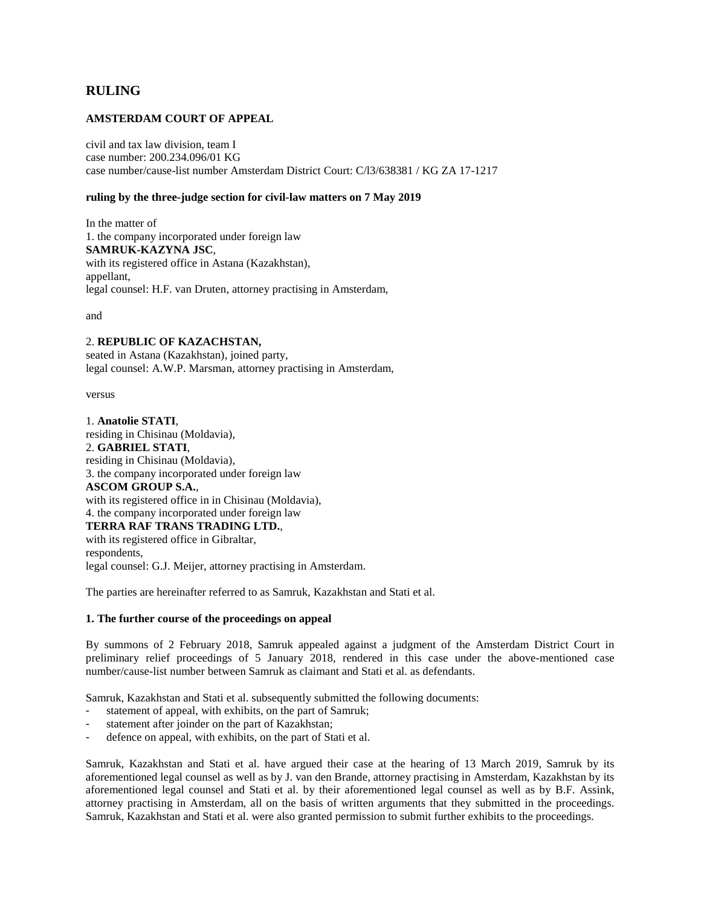# **RULING**

# **AMSTERDAM COURT OF APPEAL**

civil and tax law division, team I case number: 200.234.096/01 KG case number/cause-list number Amsterdam District Court: C/l3/638381 / KG ZA 17-1217

#### **ruling by the three-judge section for civil-law matters on 7 May 2019**

In the matter of 1. the company incorporated under foreign law **SAMRUK-KAZYNA JSC**, with its registered office in Astana (Kazakhstan), appellant, legal counsel: H.F. van Druten, attorney practising in Amsterdam,

and

# 2. **REPUBLIC OF KAZACHSTAN,**

seated in Astana (Kazakhstan), joined party, legal counsel: A.W.P. Marsman, attorney practising in Amsterdam,

versus

1. **Anatolie STATI**, residing in Chisinau (Moldavia), 2. **GABRIEL STATI**, residing in Chisinau (Moldavia), 3. the company incorporated under foreign law **ASCOM GROUP S.A.**, with its registered office in in Chisinau (Moldavia), 4. the company incorporated under foreign law **TERRA RAF TRANS TRADING LTD.**, with its registered office in Gibraltar, respondents, legal counsel: G.J. Meijer, attorney practising in Amsterdam.

The parties are hereinafter referred to as Samruk, Kazakhstan and Stati et al.

#### **1. The further course of the proceedings on appeal**

By summons of 2 February 2018, Samruk appealed against a judgment of the Amsterdam District Court in preliminary relief proceedings of 5 January 2018, rendered in this case under the above-mentioned case number/cause-list number between Samruk as claimant and Stati et al. as defendants.

Samruk, Kazakhstan and Stati et al. subsequently submitted the following documents:

- statement of appeal, with exhibits, on the part of Samruk;
- statement after joinder on the part of Kazakhstan;
- defence on appeal, with exhibits, on the part of Stati et al.

Samruk, Kazakhstan and Stati et al. have argued their case at the hearing of 13 March 2019, Samruk by its aforementioned legal counsel as well as by J. van den Brande, attorney practising in Amsterdam, Kazakhstan by its aforementioned legal counsel and Stati et al. by their aforementioned legal counsel as well as by B.F. Assink, attorney practising in Amsterdam, all on the basis of written arguments that they submitted in the proceedings. Samruk, Kazakhstan and Stati et al. were also granted permission to submit further exhibits to the proceedings.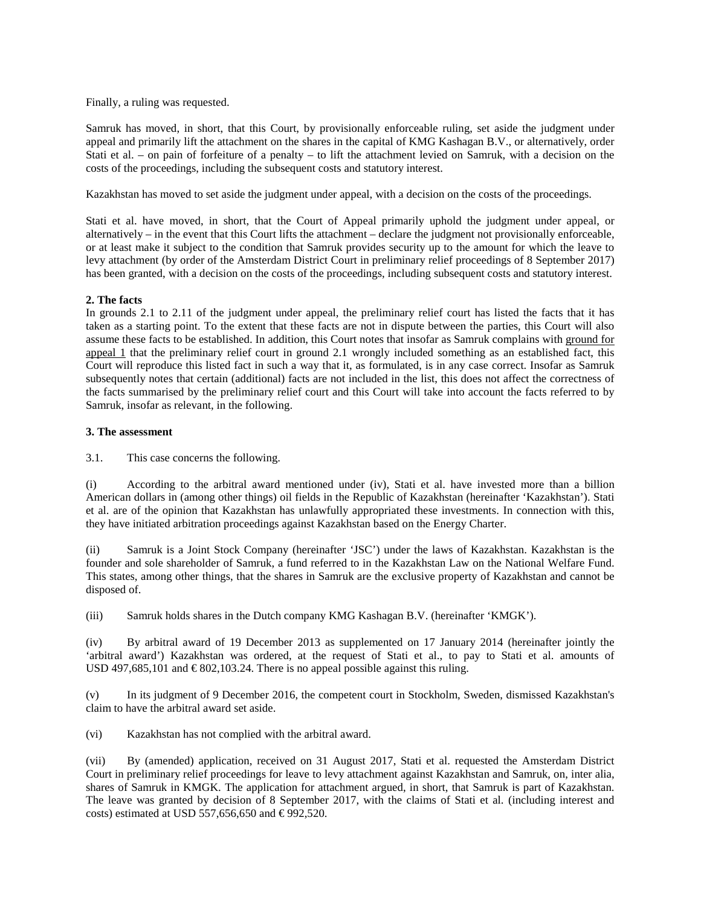Finally, a ruling was requested.

Samruk has moved, in short, that this Court, by provisionally enforceable ruling, set aside the judgment under appeal and primarily lift the attachment on the shares in the capital of KMG Kashagan B.V., or alternatively, order Stati et al. – on pain of forfeiture of a penalty – to lift the attachment levied on Samruk, with a decision on the costs of the proceedings, including the subsequent costs and statutory interest.

Kazakhstan has moved to set aside the judgment under appeal, with a decision on the costs of the proceedings.

Stati et al. have moved, in short, that the Court of Appeal primarily uphold the judgment under appeal, or alternatively – in the event that this Court lifts the attachment – declare the judgment not provisionally enforceable, or at least make it subject to the condition that Samruk provides security up to the amount for which the leave to levy attachment (by order of the Amsterdam District Court in preliminary relief proceedings of 8 September 2017) has been granted, with a decision on the costs of the proceedings, including subsequent costs and statutory interest.

# **2. The facts**

In grounds 2.1 to 2.11 of the judgment under appeal, the preliminary relief court has listed the facts that it has taken as a starting point. To the extent that these facts are not in dispute between the parties, this Court will also assume these facts to be established. In addition, this Court notes that insofar as Samruk complains with ground for appeal 1 that the preliminary relief court in ground 2.1 wrongly included something as an established fact, this Court will reproduce this listed fact in such a way that it, as formulated, is in any case correct. Insofar as Samruk subsequently notes that certain (additional) facts are not included in the list, this does not affect the correctness of the facts summarised by the preliminary relief court and this Court will take into account the facts referred to by Samruk, insofar as relevant, in the following.

# **3. The assessment**

3.1. This case concerns the following.

(i) According to the arbitral award mentioned under (iv), Stati et al. have invested more than a billion American dollars in (among other things) oil fields in the Republic of Kazakhstan (hereinafter 'Kazakhstan'). Stati et al. are of the opinion that Kazakhstan has unlawfully appropriated these investments. In connection with this, they have initiated arbitration proceedings against Kazakhstan based on the Energy Charter.

(ii) Samruk is a Joint Stock Company (hereinafter 'JSC') under the laws of Kazakhstan. Kazakhstan is the founder and sole shareholder of Samruk, a fund referred to in the Kazakhstan Law on the National Welfare Fund. This states, among other things, that the shares in Samruk are the exclusive property of Kazakhstan and cannot be disposed of.

(iii) Samruk holds shares in the Dutch company KMG Kashagan B.V. (hereinafter 'KMGK').

(iv) By arbitral award of 19 December 2013 as supplemented on 17 January 2014 (hereinafter jointly the 'arbitral award') Kazakhstan was ordered, at the request of Stati et al., to pay to Stati et al. amounts of USD 497,685,101 and  $\epsilon$ 802,103.24. There is no appeal possible against this ruling.

(v) In its judgment of 9 December 2016, the competent court in Stockholm, Sweden, dismissed Kazakhstan's claim to have the arbitral award set aside.

(vi) Kazakhstan has not complied with the arbitral award.

(vii) By (amended) application, received on 31 August 2017, Stati et al. requested the Amsterdam District Court in preliminary relief proceedings for leave to levy attachment against Kazakhstan and Samruk, on, inter alia, shares of Samruk in KMGK. The application for attachment argued, in short, that Samruk is part of Kazakhstan. The leave was granted by decision of 8 September 2017, with the claims of Stati et al. (including interest and costs) estimated at USD 557,656,650 and  $\epsilon$ 992,520.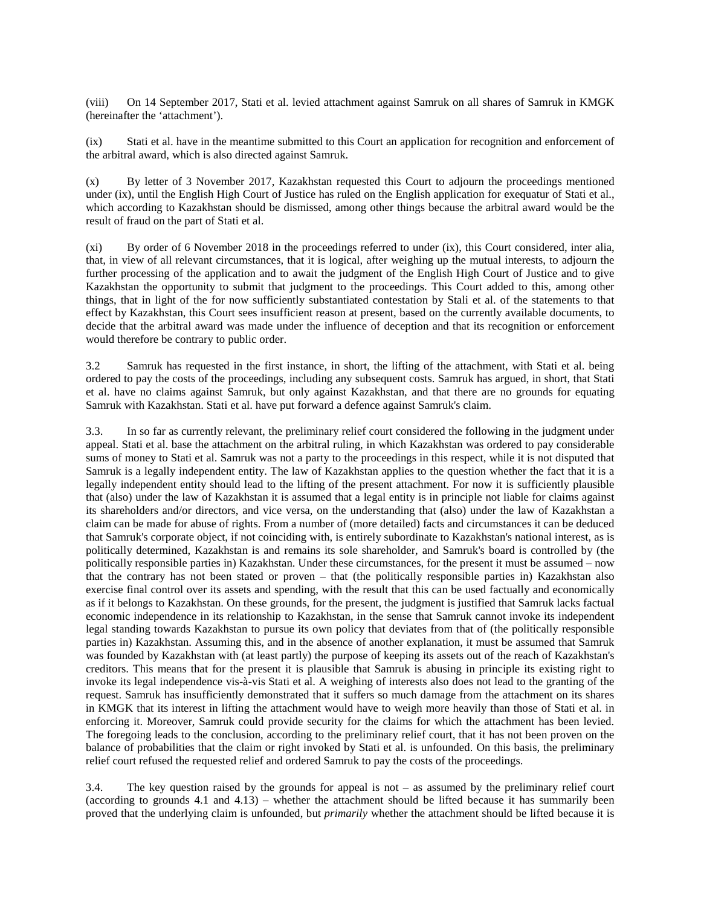(viii) On 14 September 2017, Stati et al. levied attachment against Samruk on all shares of Samruk in KMGK (hereinafter the 'attachment').

(ix) Stati et al. have in the meantime submitted to this Court an application for recognition and enforcement of the arbitral award, which is also directed against Samruk.

(x) By letter of 3 November 2017, Kazakhstan requested this Court to adjourn the proceedings mentioned under (ix), until the English High Court of Justice has ruled on the English application for exequatur of Stati et al., which according to Kazakhstan should be dismissed, among other things because the arbitral award would be the result of fraud on the part of Stati et al.

(xi) By order of 6 November 2018 in the proceedings referred to under (ix), this Court considered, inter alia, that, in view of all relevant circumstances, that it is logical, after weighing up the mutual interests, to adjourn the further processing of the application and to await the judgment of the English High Court of Justice and to give Kazakhstan the opportunity to submit that judgment to the proceedings. This Court added to this, among other things, that in light of the for now sufficiently substantiated contestation by Stali et al. of the statements to that effect by Kazakhstan, this Court sees insufficient reason at present, based on the currently available documents, to decide that the arbitral award was made under the influence of deception and that its recognition or enforcement would therefore be contrary to public order.

3.2 Samruk has requested in the first instance, in short, the lifting of the attachment, with Stati et al. being ordered to pay the costs of the proceedings, including any subsequent costs. Samruk has argued, in short, that Stati et al. have no claims against Samruk, but only against Kazakhstan, and that there are no grounds for equating Samruk with Kazakhstan. Stati et al. have put forward a defence against Samruk's claim.

3.3. In so far as currently relevant, the preliminary relief court considered the following in the judgment under appeal. Stati et al. base the attachment on the arbitral ruling, in which Kazakhstan was ordered to pay considerable sums of money to Stati et al. Samruk was not a party to the proceedings in this respect, while it is not disputed that Samruk is a legally independent entity. The law of Kazakhstan applies to the question whether the fact that it is a legally independent entity should lead to the lifting of the present attachment. For now it is sufficiently plausible that (also) under the law of Kazakhstan it is assumed that a legal entity is in principle not liable for claims against its shareholders and/or directors, and vice versa, on the understanding that (also) under the law of Kazakhstan a claim can be made for abuse of rights. From a number of (more detailed) facts and circumstances it can be deduced that Samruk's corporate object, if not coinciding with, is entirely subordinate to Kazakhstan's national interest, as is politically determined, Kazakhstan is and remains its sole shareholder, and Samruk's board is controlled by (the politically responsible parties in) Kazakhstan. Under these circumstances, for the present it must be assumed – now that the contrary has not been stated or proven – that (the politically responsible parties in) Kazakhstan also exercise final control over its assets and spending, with the result that this can be used factually and economically as if it belongs to Kazakhstan. On these grounds, for the present, the judgment is justified that Samruk lacks factual economic independence in its relationship to Kazakhstan, in the sense that Samruk cannot invoke its independent legal standing towards Kazakhstan to pursue its own policy that deviates from that of (the politically responsible parties in) Kazakhstan. Assuming this, and in the absence of another explanation, it must be assumed that Samruk was founded by Kazakhstan with (at least partly) the purpose of keeping its assets out of the reach of Kazakhstan's creditors. This means that for the present it is plausible that Samruk is abusing in principle its existing right to invoke its legal independence vis-à-vis Stati et al. A weighing of interests also does not lead to the granting of the request. Samruk has insufficiently demonstrated that it suffers so much damage from the attachment on its shares in KMGK that its interest in lifting the attachment would have to weigh more heavily than those of Stati et al. in enforcing it. Moreover, Samruk could provide security for the claims for which the attachment has been levied. The foregoing leads to the conclusion, according to the preliminary relief court, that it has not been proven on the balance of probabilities that the claim or right invoked by Stati et al. is unfounded. On this basis, the preliminary relief court refused the requested relief and ordered Samruk to pay the costs of the proceedings.

3.4. The key question raised by the grounds for appeal is not – as assumed by the preliminary relief court (according to grounds 4.1 and 4.13) – whether the attachment should be lifted because it has summarily been proved that the underlying claim is unfounded, but *primarily* whether the attachment should be lifted because it is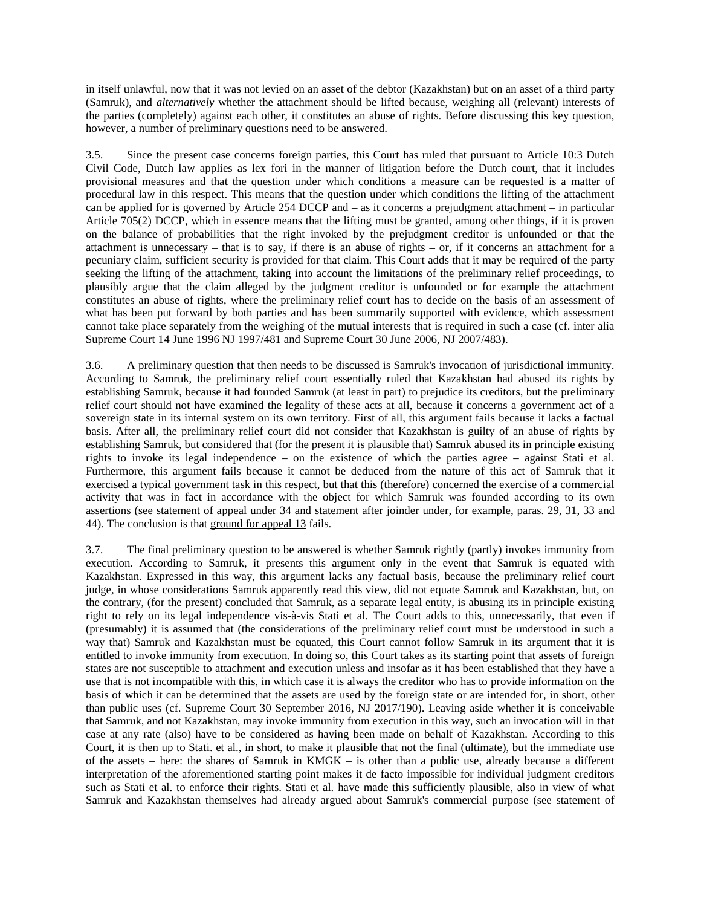in itself unlawful, now that it was not levied on an asset of the debtor (Kazakhstan) but on an asset of a third party (Samruk), and *alternatively* whether the attachment should be lifted because, weighing all (relevant) interests of the parties (completely) against each other, it constitutes an abuse of rights. Before discussing this key question, however, a number of preliminary questions need to be answered.

3.5. Since the present case concerns foreign parties, this Court has ruled that pursuant to Article 10:3 Dutch Civil Code, Dutch law applies as lex fori in the manner of litigation before the Dutch court, that it includes provisional measures and that the question under which conditions a measure can be requested is a matter of procedural law in this respect. This means that the question under which conditions the lifting of the attachment can be applied for is governed by Article 254 DCCP and – as it concerns a prejudgment attachment – in particular Article 705(2) DCCP, which in essence means that the lifting must be granted, among other things, if it is proven on the balance of probabilities that the right invoked by the prejudgment creditor is unfounded or that the attachment is unnecessary – that is to say, if there is an abuse of rights – or, if it concerns an attachment for a pecuniary claim, sufficient security is provided for that claim. This Court adds that it may be required of the party seeking the lifting of the attachment, taking into account the limitations of the preliminary relief proceedings, to plausibly argue that the claim alleged by the judgment creditor is unfounded or for example the attachment constitutes an abuse of rights, where the preliminary relief court has to decide on the basis of an assessment of what has been put forward by both parties and has been summarily supported with evidence, which assessment cannot take place separately from the weighing of the mutual interests that is required in such a case (cf. inter alia Supreme Court 14 June 1996 NJ 1997/481 and Supreme Court 30 June 2006, NJ 2007/483).

3.6. A preliminary question that then needs to be discussed is Samruk's invocation of jurisdictional immunity. According to Samruk, the preliminary relief court essentially ruled that Kazakhstan had abused its rights by establishing Samruk, because it had founded Samruk (at least in part) to prejudice its creditors, but the preliminary relief court should not have examined the legality of these acts at all, because it concerns a government act of a sovereign state in its internal system on its own territory. First of all, this argument fails because it lacks a factual basis. After all, the preliminary relief court did not consider that Kazakhstan is guilty of an abuse of rights by establishing Samruk, but considered that (for the present it is plausible that) Samruk abused its in principle existing rights to invoke its legal independence – on the existence of which the parties agree – against Stati et al. Furthermore, this argument fails because it cannot be deduced from the nature of this act of Samruk that it exercised a typical government task in this respect, but that this (therefore) concerned the exercise of a commercial activity that was in fact in accordance with the object for which Samruk was founded according to its own assertions (see statement of appeal under 34 and statement after joinder under, for example, paras. 29, 31, 33 and 44). The conclusion is that ground for appeal 13 fails.

3.7. The final preliminary question to be answered is whether Samruk rightly (partly) invokes immunity from execution. According to Samruk, it presents this argument only in the event that Samruk is equated with Kazakhstan. Expressed in this way, this argument lacks any factual basis, because the preliminary relief court judge, in whose considerations Samruk apparently read this view, did not equate Samruk and Kazakhstan, but, on the contrary, (for the present) concluded that Samruk, as a separate legal entity, is abusing its in principle existing right to rely on its legal independence vis-à-vis Stati et al. The Court adds to this, unnecessarily, that even if (presumably) it is assumed that (the considerations of the preliminary relief court must be understood in such a way that) Samruk and Kazakhstan must be equated, this Court cannot follow Samruk in its argument that it is entitled to invoke immunity from execution. In doing so, this Court takes as its starting point that assets of foreign states are not susceptible to attachment and execution unless and insofar as it has been established that they have a use that is not incompatible with this, in which case it is always the creditor who has to provide information on the basis of which it can be determined that the assets are used by the foreign state or are intended for, in short, other than public uses (cf. Supreme Court 30 September 2016, NJ 2017/190). Leaving aside whether it is conceivable that Samruk, and not Kazakhstan, may invoke immunity from execution in this way, such an invocation will in that case at any rate (also) have to be considered as having been made on behalf of Kazakhstan. According to this Court, it is then up to Stati. et al., in short, to make it plausible that not the final (ultimate), but the immediate use of the assets – here: the shares of Samruk in KMGK – is other than a public use, already because a different interpretation of the aforementioned starting point makes it de facto impossible for individual judgment creditors such as Stati et al. to enforce their rights. Stati et al. have made this sufficiently plausible, also in view of what Samruk and Kazakhstan themselves had already argued about Samruk's commercial purpose (see statement of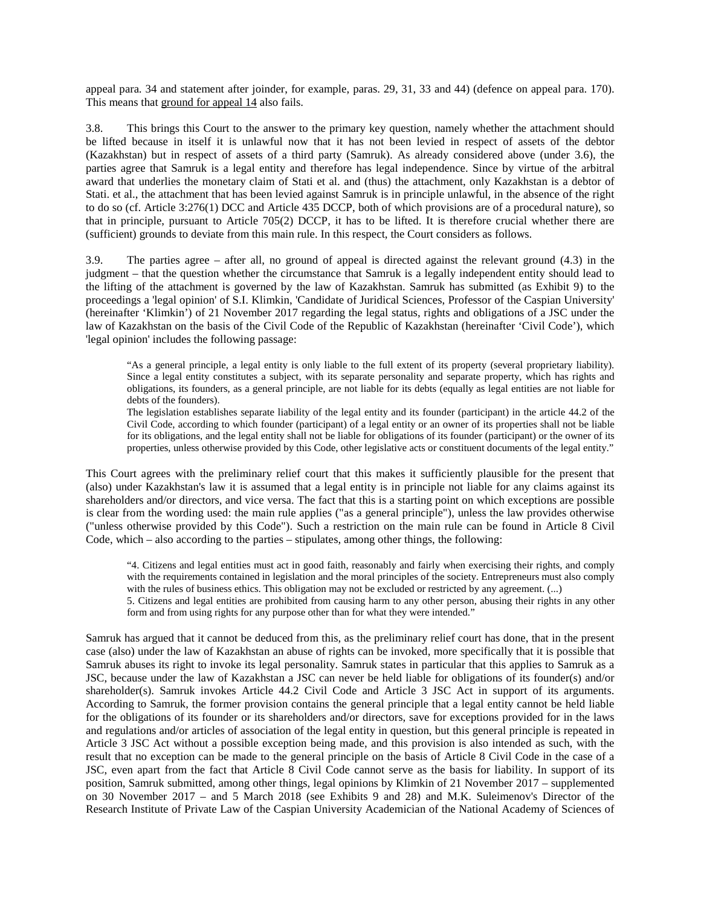appeal para. 34 and statement after joinder, for example, paras. 29, 31, 33 and 44) (defence on appeal para. 170). This means that ground for appeal 14 also fails.

3.8. This brings this Court to the answer to the primary key question, namely whether the attachment should be lifted because in itself it is unlawful now that it has not been levied in respect of assets of the debtor (Kazakhstan) but in respect of assets of a third party (Samruk). As already considered above (under 3.6), the parties agree that Samruk is a legal entity and therefore has legal independence. Since by virtue of the arbitral award that underlies the monetary claim of Stati et al. and (thus) the attachment, only Kazakhstan is a debtor of Stati. et al., the attachment that has been levied against Samruk is in principle unlawful, in the absence of the right to do so (cf. Article 3:276(1) DCC and Article 435 DCCP, both of which provisions are of a procedural nature), so that in principle, pursuant to Article 705(2) DCCP, it has to be lifted. It is therefore crucial whether there are (sufficient) grounds to deviate from this main rule. In this respect, the Court considers as follows.

3.9. The parties agree – after all, no ground of appeal is directed against the relevant ground (4.3) in the judgment – that the question whether the circumstance that Samruk is a legally independent entity should lead to the lifting of the attachment is governed by the law of Kazakhstan. Samruk has submitted (as Exhibit 9) to the proceedings a 'legal opinion' of S.I. Klimkin, 'Candidate of Juridical Sciences, Professor of the Caspian University' (hereinafter 'Klimkin') of 21 November 2017 regarding the legal status, rights and obligations of a JSC under the law of Kazakhstan on the basis of the Civil Code of the Republic of Kazakhstan (hereinafter 'Civil Code'), which 'legal opinion' includes the following passage:

"As a general principle, a legal entity is only liable to the full extent of its property (several proprietary liability). Since a legal entity constitutes a subject, with its separate personality and separate property, which has rights and obligations, its founders, as a general principle, are not liable for its debts (equally as legal entities are not liable for debts of the founders).

The legislation establishes separate liability of the legal entity and its founder (participant) in the article 44.2 of the Civil Code, according to which founder (participant) of a legal entity or an owner of its properties shall not be liable for its obligations, and the legal entity shall not be liable for obligations of its founder (participant) or the owner of its properties, unless otherwise provided by this Code, other legislative acts or constituent documents of the legal entity."

This Court agrees with the preliminary relief court that this makes it sufficiently plausible for the present that (also) under Kazakhstan's law it is assumed that a legal entity is in principle not liable for any claims against its shareholders and/or directors, and vice versa. The fact that this is a starting point on which exceptions are possible is clear from the wording used: the main rule applies ("as a general principle"), unless the law provides otherwise ("unless otherwise provided by this Code"). Such a restriction on the main rule can be found in Article 8 Civil Code, which – also according to the parties – stipulates, among other things, the following:

"4. Citizens and legal entities must act in good faith, reasonably and fairly when exercising their rights, and comply with the requirements contained in legislation and the moral principles of the society. Entrepreneurs must also comply with the rules of business ethics. This obligation may not be excluded or restricted by any agreement. (...)

5. Citizens and legal entities are prohibited from causing harm to any other person, abusing their rights in any other form and from using rights for any purpose other than for what they were intended."

Samruk has argued that it cannot be deduced from this, as the preliminary relief court has done, that in the present case (also) under the law of Kazakhstan an abuse of rights can be invoked, more specifically that it is possible that Samruk abuses its right to invoke its legal personality. Samruk states in particular that this applies to Samruk as a JSC, because under the law of Kazakhstan a JSC can never be held liable for obligations of its founder(s) and/or shareholder(s). Samruk invokes Article 44.2 Civil Code and Article 3 JSC Act in support of its arguments. According to Samruk, the former provision contains the general principle that a legal entity cannot be held liable for the obligations of its founder or its shareholders and/or directors, save for exceptions provided for in the laws and regulations and/or articles of association of the legal entity in question, but this general principle is repeated in Article 3 JSC Act without a possible exception being made, and this provision is also intended as such, with the result that no exception can be made to the general principle on the basis of Article 8 Civil Code in the case of a JSC, even apart from the fact that Article 8 Civil Code cannot serve as the basis for liability. In support of its position, Samruk submitted, among other things, legal opinions by Klimkin of 21 November 2017 – supplemented on 30 November 2017 – and 5 March 2018 (see Exhibits 9 and 28) and M.K. Suleimenov's Director of the Research Institute of Private Law of the Caspian University Academician of the National Academy of Sciences of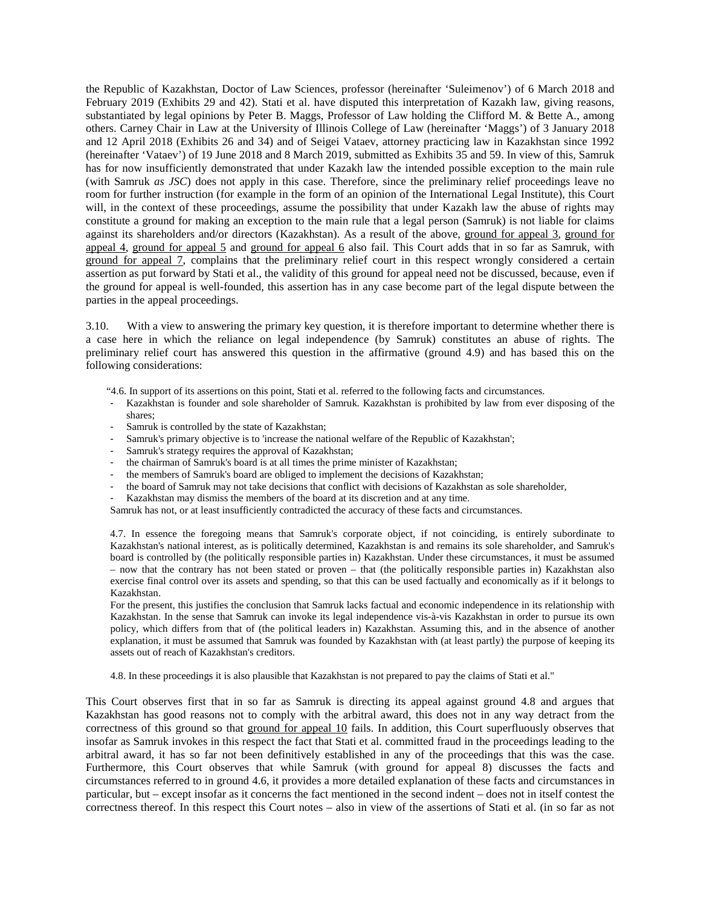the Republic of Kazakhstan, Doctor of Law Sciences, professor (hereinafter 'Suleimenov') of 6 March 2018 and February 2019 (Exhibits 29 and 42). Stati et al. have disputed this interpretation of Kazakh law, giving reasons, substantiated by legal opinions by Peter B. Maggs, Professor of Law holding the Clifford M. & Bette A., among others. Carney Chair in Law at the University of Illinois College of Law (hereinafter 'Maggs') of 3 January 2018 and 12 April 2018 (Exhibits 26 and 34) and of Seigei Vataev, attorney practicing law in Kazakhstan since 1992 (hereinafter 'Vataev') of 19 June 2018 and 8 March 2019, submitted as Exhibits 35 and 59. In view of this, Samruk has for now insufficiently demonstrated that under Kazakh law the intended possible exception to the main rule (with Samruk *as JSC*) does not apply in this case. Therefore, since the preliminary relief proceedings leave no room for further instruction (for example in the form of an opinion of the International Legal Institute), this Court will, in the context of these proceedings, assume the possibility that under Kazakh law the abuse of rights may constitute a ground for making an exception to the main rule that a legal person (Samruk) is not liable for claims against its shareholders and/or directors (Kazakhstan). As a result of the above, ground for appeal 3, ground for appeal 4, ground for appeal 5 and ground for appeal 6 also fail. This Court adds that in so far as Samruk, with ground for appeal 7, complains that the preliminary relief court in this respect wrongly considered a certain assertion as put forward by Stati et al., the validity of this ground for appeal need not be discussed, because, even if the ground for appeal is well-founded, this assertion has in any case become part of the legal dispute between the parties in the appeal proceedings.

3.10. With a view to answering the primary key question, it is therefore important to determine whether there is a case here in which the reliance on legal independence (by Samruk) constitutes an abuse of rights. The preliminary relief court has answered this question in the affirmative (ground 4.9) and has based this on the following considerations:

- "4.6. In support of its assertions on this point, Stati et al. referred to the following facts and circumstances.
- Kazakhstan is founder and sole shareholder of Samruk. Kazakhstan is prohibited by law from ever disposing of the shares;
- Samruk is controlled by the state of Kazakhstan;
- Samruk's primary objective is to 'increase the national welfare of the Republic of Kazakhstan';
- Samruk's strategy requires the approval of Kazakhstan;
- the chairman of Samruk's board is at all times the prime minister of Kazakhstan;
- the members of Samruk's board are obliged to implement the decisions of Kazakhstan;
- the board of Samruk may not take decisions that conflict with decisions of Kazakhstan as sole shareholder,
- Kazakhstan may dismiss the members of the board at its discretion and at any time.

Samruk has not, or at least insufficiently contradicted the accuracy of these facts and circumstances.

4.7. In essence the foregoing means that Samruk's corporate object, if not coinciding, is entirely subordinate to Kazakhstan's national interest, as is politically determined, Kazakhstan is and remains its sole shareholder, and Samruk's board is controlled by (the politically responsible parties in) Kazakhstan. Under these circumstances, it must be assumed – now that the contrary has not been stated or proven – that (the politically responsible parties in) Kazakhstan also exercise final control over its assets and spending, so that this can be used factually and economically as if it belongs to Kazakhstan.

For the present, this justifies the conclusion that Samruk lacks factual and economic independence in its relationship with Kazakhstan. In the sense that Samruk can invoke its legal independence vis-à-vis Kazakhstan in order to pursue its own policy, which differs from that of (the political leaders in) Kazakhstan. Assuming this, and in the absence of another explanation, it must be assumed that Samruk was founded by Kazakhstan with (at least partly) the purpose of keeping its assets out of reach of Kazakhstan's creditors.

4.8. In these proceedings it is also plausible that Kazakhstan is not prepared to pay the claims of Stati et al."

This Court observes first that in so far as Samruk is directing its appeal against ground 4.8 and argues that Kazakhstan has good reasons not to comply with the arbitral award, this does not in any way detract from the correctness of this ground so that ground for appeal 10 fails. In addition, this Court superfluously observes that insofar as Samruk invokes in this respect the fact that Stati et al. committed fraud in the proceedings leading to the arbitral award, it has so far not been definitively established in any of the proceedings that this was the case. Furthermore, this Court observes that while Samruk (with ground for appeal 8) discusses the facts and circumstances referred to in ground 4.6, it provides a more detailed explanation of these facts and circumstances in particular, but – except insofar as it concerns the fact mentioned in the second indent – does not in itself contest the correctness thereof. In this respect this Court notes – also in view of the assertions of Stati et al. (in so far as not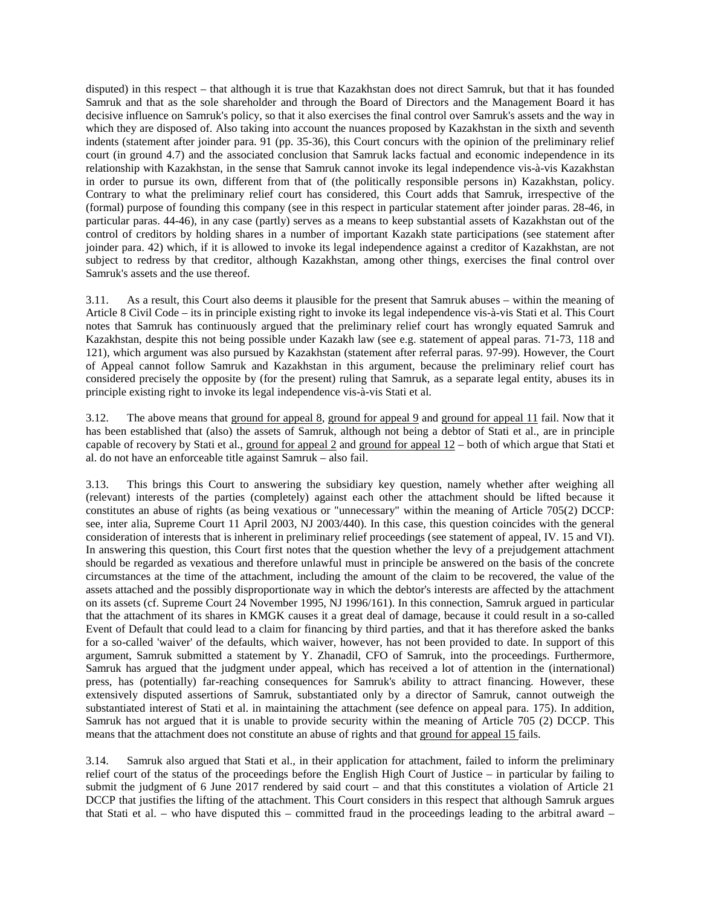disputed) in this respect – that although it is true that Kazakhstan does not direct Samruk, but that it has founded Samruk and that as the sole shareholder and through the Board of Directors and the Management Board it has decisive influence on Samruk's policy, so that it also exercises the final control over Samruk's assets and the way in which they are disposed of. Also taking into account the nuances proposed by Kazakhstan in the sixth and seventh indents (statement after joinder para. 91 (pp. 35-36), this Court concurs with the opinion of the preliminary relief court (in ground 4.7) and the associated conclusion that Samruk lacks factual and economic independence in its relationship with Kazakhstan, in the sense that Samruk cannot invoke its legal independence vis-à-vis Kazakhstan in order to pursue its own, different from that of (the politically responsible persons in) Kazakhstan, policy. Contrary to what the preliminary relief court has considered, this Court adds that Samruk, irrespective of the (formal) purpose of founding this company (see in this respect in particular statement after joinder paras. 28-46, in particular paras. 44-46), in any case (partly) serves as a means to keep substantial assets of Kazakhstan out of the control of creditors by holding shares in a number of important Kazakh state participations (see statement after joinder para. 42) which, if it is allowed to invoke its legal independence against a creditor of Kazakhstan, are not subject to redress by that creditor, although Kazakhstan, among other things, exercises the final control over Samruk's assets and the use thereof.

3.11. As a result, this Court also deems it plausible for the present that Samruk abuses – within the meaning of Article 8 Civil Code – its in principle existing right to invoke its legal independence vis-à-vis Stati et al. This Court notes that Samruk has continuously argued that the preliminary relief court has wrongly equated Samruk and Kazakhstan, despite this not being possible under Kazakh law (see e.g. statement of appeal paras. 71-73, 118 and 121), which argument was also pursued by Kazakhstan (statement after referral paras. 97-99). However, the Court of Appeal cannot follow Samruk and Kazakhstan in this argument, because the preliminary relief court has considered precisely the opposite by (for the present) ruling that Samruk, as a separate legal entity, abuses its in principle existing right to invoke its legal independence vis-à-vis Stati et al.

3.12. The above means that ground for appeal 8, ground for appeal 9 and ground for appeal 11 fail. Now that it has been established that (also) the assets of Samruk, although not being a debtor of Stati et al., are in principle capable of recovery by Stati et al., ground for appeal 2 and ground for appeal 12 – both of which argue that Stati et al. do not have an enforceable title against Samruk – also fail.

3.13. This brings this Court to answering the subsidiary key question, namely whether after weighing all (relevant) interests of the parties (completely) against each other the attachment should be lifted because it constitutes an abuse of rights (as being vexatious or "unnecessary" within the meaning of Article 705(2) DCCP: see, inter alia, Supreme Court 11 April 2003, NJ 2003/440). In this case, this question coincides with the general consideration of interests that is inherent in preliminary relief proceedings (see statement of appeal, IV. 15 and VI). In answering this question, this Court first notes that the question whether the levy of a prejudgement attachment should be regarded as vexatious and therefore unlawful must in principle be answered on the basis of the concrete circumstances at the time of the attachment, including the amount of the claim to be recovered, the value of the assets attached and the possibly disproportionate way in which the debtor's interests are affected by the attachment on its assets (cf. Supreme Court 24 November 1995, NJ 1996/161). In this connection, Samruk argued in particular that the attachment of its shares in KMGK causes it a great deal of damage, because it could result in a so-called Event of Default that could lead to a claim for financing by third parties, and that it has therefore asked the banks for a so-called 'waiver' of the defaults, which waiver, however, has not been provided to date. In support of this argument, Samruk submitted a statement by Y. Zhanadil, CFO of Samruk, into the proceedings. Furthermore, Samruk has argued that the judgment under appeal, which has received a lot of attention in the (international) press, has (potentially) far-reaching consequences for Samruk's ability to attract financing. However, these extensively disputed assertions of Samruk, substantiated only by a director of Samruk, cannot outweigh the substantiated interest of Stati et al. in maintaining the attachment (see defence on appeal para. 175). In addition, Samruk has not argued that it is unable to provide security within the meaning of Article 705 (2) DCCP. This means that the attachment does not constitute an abuse of rights and that ground for appeal 15 fails.

3.14. Samruk also argued that Stati et al., in their application for attachment, failed to inform the preliminary relief court of the status of the proceedings before the English High Court of Justice – in particular by failing to submit the judgment of 6 June 2017 rendered by said court – and that this constitutes a violation of Article 21 DCCP that justifies the lifting of the attachment. This Court considers in this respect that although Samruk argues that Stati et al. – who have disputed this – committed fraud in the proceedings leading to the arbitral award –